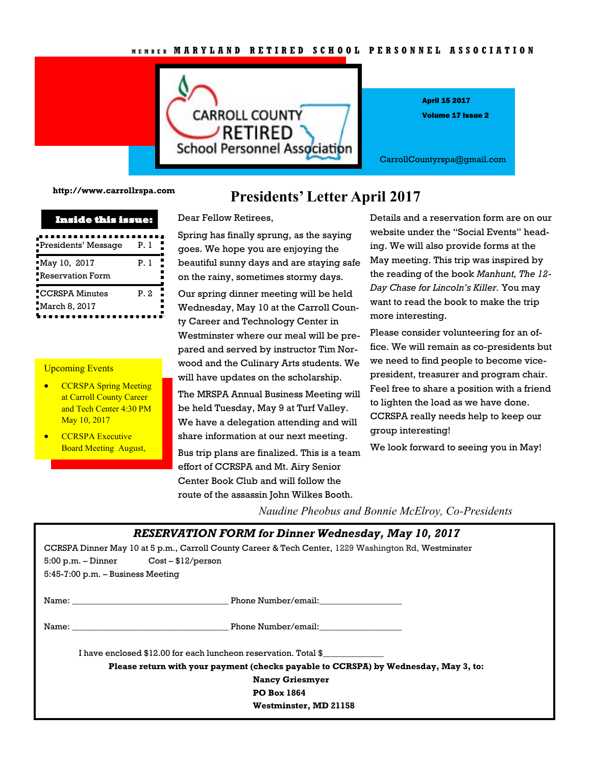

Volume 17 Issue 2 April 15 2017

CarrollCountyrspa@gmail.com

**http://www.carrollrspa.com**

| Inside this issue:                |      |
|-----------------------------------|------|
| ■Presidents' Message              | P. 1 |
| May 10, 2017_<br>Reservation Form | P. 1 |
| CCRSPA Minutes<br>March 8, 2017   | P 2  |

## Upcoming Events

- CCRSPA Spring Meeting at Carroll County Career and Tech Center 4:30 PM May 10, 2017
- CCRSPA Executive Board Meeting August,

## **Presidents' Letter April 2017**

Dear Fellow Retirees,

Spring has finally sprung, as the saying goes. We hope you are enjoying the beautiful sunny days and are staying safe on the rainy, sometimes stormy days.

Our spring dinner meeting will be held Wednesday, May 10 at the Carroll County Career and Technology Center in Westminster where our meal will be prepared and served by instructor Tim Norwood and the Culinary Arts students. We will have updates on the scholarship.

The MRSPA Annual Business Meeting will be held Tuesday, May 9 at Turf Valley. We have a delegation attending and will share information at our next meeting.

Bus trip plans are finalized. This is a team effort of CCRSPA and Mt. Airy Senior Center Book Club and will follow the route of the assassin John Wilkes Booth.

Details and a reservation form are on our website under the "Social Events" heading. We will also provide forms at the May meeting. This trip was inspired by the reading of the book *Manhunt, The 12- Day Chase for Lincoln's Killer.* You may want to read the book to make the trip more interesting.

Please consider volunteering for an office. We will remain as co-presidents but we need to find people to become vicepresident, treasurer and program chair. Feel free to share a position with a friend to lighten the load as we have done. CCRSPA really needs help to keep our group interesting!

We look forward to seeing you in May!

*Naudine Pheobus and Bonnie McElroy, Co-Presidents*

|                                                                                                      | <b>RESERVATION FORM for Dinner Wednesday, May 10, 2017</b> |  |
|------------------------------------------------------------------------------------------------------|------------------------------------------------------------|--|
| CCRSPA Dinner May 10 at 5 p.m., Carroll County Career & Tech Center, 1229 Washington Rd, Westminster |                                                            |  |
| $5:00 \text{ p.m.} - \text{Dinner}$ Cost $-12/\text{person}$                                         |                                                            |  |
| $5:45-7:00$ p.m. $-$ Business Meeting                                                                |                                                            |  |
|                                                                                                      | Name: Phone Number/email:                                  |  |
|                                                                                                      | Name: Name: Example 2014 Manual Phone Number/email:        |  |
| I have enclosed \$12.00 for each luncheon reservation. Total \$                                      |                                                            |  |
| Please return with your payment (checks payable to CCRSPA) by Wednesday, May 3, to:                  |                                                            |  |
| <b>Nancy Griesmyer</b>                                                                               |                                                            |  |
|                                                                                                      | <b>PO Box 1864</b>                                         |  |
|                                                                                                      | Westminster, MD 21158                                      |  |